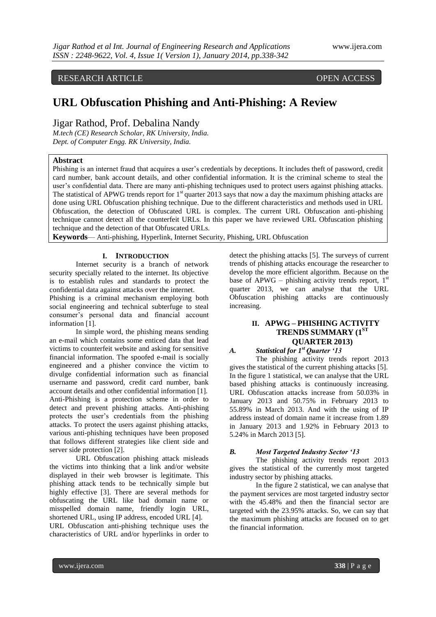# RESEARCH ARTICLE OPEN ACCESS

# **URL Obfuscation Phishing and Anti-Phishing: A Review**

# Jigar Rathod, Prof. Debalina Nandy

*M.tech (CE) Research Scholar, RK University, India. Dept. of Computer Engg. RK University, India.*

#### **Abstract**

Phishing is an internet fraud that acquires a user's credentials by deceptions. It includes theft of password, credit card number, bank account details, and other confidential information. It is the criminal scheme to steal the user's confidential data. There are many anti-phishing techniques used to protect users against phishing attacks. The statistical of APWG trends report for  $1<sup>st</sup>$  quarter 2013 says that now a day the maximum phishing attacks are done using URL Obfuscation phishing technique. Due to the different characteristics and methods used in URL Obfuscation, the detection of Obfuscated URL is complex. The current URL Obfuscation anti-phishing technique cannot detect all the counterfeit URLs. In this paper we have reviewed URL Obfuscation phishing technique and the detection of that Obfuscated URLs.

**Keywords**— Anti-phishing, Hyperlink, Internet Security, Phishing, URL Obfuscation

#### **I. INTRODUCTION**

Internet security is a branch of network security specially related to the internet. Its objective is to establish rules and standards to protect the confidential data against attacks over the internet.

Phishing is a criminal mechanism employing both social engineering and technical subterfuge to steal consumer's personal data and financial account information [1].

In simple word, the phishing means sending an e-mail which contains some enticed data that lead victims to counterfeit website and asking for sensitive financial information. The spoofed e-mail is socially engineered and a phisher convince the victim to divulge confidential information such as financial username and password, credit card number, bank account details and other confidential information [1]. Anti-Phishing is a protection scheme in order to detect and prevent phishing attacks. Anti-phishing protects the user's credentials from the phishing attacks. To protect the users against phishing attacks, various anti-phishing techniques have been proposed that follows different strategies like client side and server side protection [2].

URL Obfuscation phishing attack misleads the victims into thinking that a link and/or website displayed in their web browser is legitimate. This phishing attack tends to be technically simple but highly effective [3]. There are several methods for obfuscating the URL like bad domain name or misspelled domain name, friendly login URL, shortened URL, using IP address, encoded URL [4]. URL Obfuscation anti-phishing technique uses the characteristics of URL and/or hyperlinks in order to

detect the phishing attacks [5]. The surveys of current trends of phishing attacks encourage the researcher to develop the more efficient algorithm. Because on the base of APWG – phishing activity trends report,  $1<sup>st</sup>$ quarter 2013, we can analyse that the URL Obfuscation phishing attacks are continuously increasing.

# **II. APWG – PHISHING ACTIVITY TRENDS SUMMARY (1ST QUARTER 2013)**

# *A. Statistical for 1st Quarter '13*

The phishing activity trends report 2013 gives the statistical of the current phishing attacks [5]. In the figure 1 statistical, we can analyse that the URL based phishing attacks is continuously increasing. URL Obfuscation attacks increase from 50.03% in January 2013 and 50.75% in February 2013 to 55.89% in March 2013. And with the using of IP address instead of domain name it increase from 1.89 in January 2013 and 1.92% in February 2013 to 5.24% in March 2013 [5].

#### *B. Most Targeted Industry Sector '13*

The phishing activity trends report 2013 gives the statistical of the currently most targeted industry sector by phishing attacks.

In the figure 2 statistical, we can analyse that the payment services are most targeted industry sector with the 45.48% and then the financial sector are targeted with the 23.95% attacks. So, we can say that the maximum phishing attacks are focused on to get the financial information.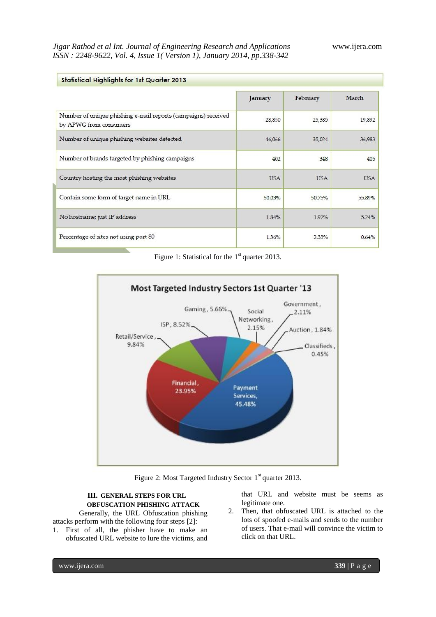| <b>Statistical Highlights for 1st Quarter 2013</b>                                      |            |            |            |
|-----------------------------------------------------------------------------------------|------------|------------|------------|
|                                                                                         | January    | February   | March      |
| Number of unique phishing e-mail reports (campaigns) received<br>by APWG from consumers | 28,850     | 25,385     | 19,892     |
| Number of unique phishing websites detected                                             | 46,066     | 35,024     | 36,983     |
| Number of brands targeted by phishing campaigns                                         | 402        | 348        | 405        |
| Country hosting the most phishing websites                                              | <b>USA</b> | <b>USA</b> | <b>USA</b> |
| Contain some form of target name in URL                                                 | 50.03%     | 50.75%     | 55,89%     |
| No hostname; just IP address                                                            | 1.84%      | 1.92%      | 5.24%      |
| Percentage of sites not using port 80                                                   | 1.36%      | 2.33%      | 0.64%      |

Figure 1: Statistical for the  $1<sup>st</sup>$  quarter 2013.



Figure 2: Most Targeted Industry Sector 1<sup>st</sup> quarter 2013.

# **III. GENERAL STEPS FOR URL OBFUSCATION PHISHING ATTACK**

Generally, the URL Obfuscation phishing attacks perform with the following four steps [2]:

1. First of all, the phisher have to make an obfuscated URL website to lure the victims, and

that URL and website must be seems as legitimate one.

2. Then, that obfuscated URL is attached to the lots of spoofed e-mails and sends to the number of users. That e-mail will convince the victim to click on that URL.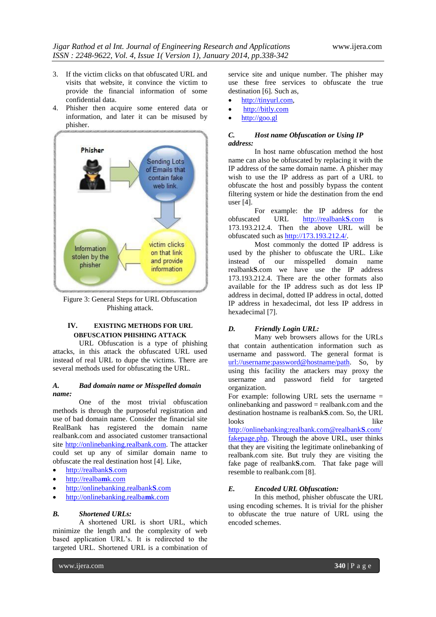- 3. If the victim clicks on that obfuscated URL and visits that website, it convince the victim to provide the financial information of some confidential data.
- 4. Phisher then acquire some entered data or information, and later it can be misused by phisher.



Figure 3: General Steps for URL Obfuscation Phishing attack.

# **IV. EXISTING METHODS FOR URL OBFUSCATION PHISHING ATTACK**

URL Obfuscation is a type of phishing attacks, in this attack the obfuscated URL used instead of real URL to dupe the victims. There are several methods used for obfuscating the URL.

#### *A. Bad domain name or Misspelled domain name:*

One of the most trivial obfuscation methods is through the purposeful registration and use of bad domain name. Consider the financial site RealBank has registered the domain name realbank.com and associated customer transactional site [http://onlinebanking.realbank.com.](http://onlinebanking.realbank.com/) The attacker could set up any of similar domain name to obfuscate the real destination host [4]. Like,

- [http://realbank](http://realbanks.com/)**S**.com
- [http://realba](http://realbamk.com/)**m**k.com
- [http://onlinebanking.realbank](http://onlinebanking.realbanks.com/)**S**.com
- [http://onlinebanking.realba](http://onlinebanking.realbamk.com/)**m**k.com

#### *B. Shortened URLs:*

A shortened URL is short URL, which minimize the length and the complexity of web based application URL's. It is redirected to the targeted URL. Shortened URL is a combination of service site and unique number. The phisher may use these free services to obfuscate the true destination [6]. Such as,

- [http://tinyurl.com,](http://tinyurl.com/)
- [http://bitly.com](http://bitly.com/)
- $\bullet$  [http://goo.gl](http://goo.gl/)

# *C. Host name Obfuscation or Using IP address:*

In host name obfuscation method the host name can also be obfuscated by replacing it with the IP address of the same domain name. A phisher may wish to use the IP address as part of a URL to obfuscate the host and possibly bypass the content filtering system or hide the destination from the end user [4].

For example: the IP address for the obfuscated URL [http://realbank](http://realbanks.com/)**S**.com is 173.193.212.4. Then the above URL will be obfuscated such as [http://173.193.212.4/.](http://173.193.212.4/)

Most commonly the dotted IP address is used by the phisher to obfuscate the URL. Like instead of our misspelled domain name realbank**S**.com we have use the IP address 173.193.212.4. There are the other formats also available for the IP address such as dot less IP address in decimal, dotted IP address in octal, dotted IP address in hexadecimal, dot less IP address in hexadecimal [7].

# *D. Friendly Login URL:*

Many web browsers allows for the URLs that contain authentication information such as username and password. The general format is [url://username:password@hostname/path.](//username:password@hostname/path) So, by using this facility the attackers may proxy the username and password field for targeted organization.

For example: following URL sets the username = onlinebanking and password = realbank.com and the destination hostname is realbank**S**.com. So, the URL looks like

[http://onlinebanking:realbank.com@realbank](http://onlinebanking:realbank.com@realbanks.com/fakepage.php)**S**.com/ [fakepage.php.](http://onlinebanking:realbank.com@realbanks.com/fakepage.php) Through the above URL, user thinks that they are visiting the legitimate onlinebanking of realbank.com site. But truly they are visiting the fake page of realbank**S**.com. That fake page will resemble to realbank.com [8].

# *E. Encoded URL Obfuscation:*

In this method, phisher obfuscate the URL using encoding schemes. It is trivial for the phisher to obfuscate the true nature of URL using the encoded schemes.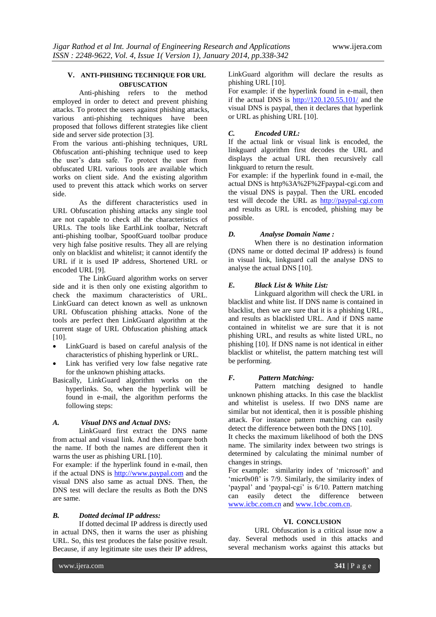# **V. ANTI-PHISHING TECHNIQUE FOR URL OBFUSCATION**

Anti-phishing refers to the method employed in order to detect and prevent phishing attacks. To protect the users against phishing attacks, various anti-phishing techniques have been proposed that follows different strategies like client side and server side protection [3].

From the various anti-phishing techniques, URL Obfuscation anti-phishing technique used to keep the user's data safe. To protect the user from obfuscated URL various tools are available which works on client side. And the existing algorithm used to prevent this attack which works on server side.

As the different characteristics used in URL Obfuscation phishing attacks any single tool are not capable to check all the characteristics of URLs. The tools like EarthLink toolbar, Netcraft anti-phishing toolbar, SpoofGuard toolbar produce very high false positive results. They all are relying only on blacklist and whitelist; it cannot identify the URL if it is used IP address, Shortened URL or encoded URL [9].

The LinkGuard algorithm works on server side and it is then only one existing algorithm to check the maximum characteristics of URL. LinkGuard can detect known as well as unknown URL Obfuscation phishing attacks. None of the tools are perfect then LinkGuard algorithm at the current stage of URL Obfuscation phishing attack [10].

- LinkGuard is based on careful analysis of the characteristics of phishing hyperlink or URL.
- Link has verified very low false negative rate for the unknown phishing attacks.
- Basically, LinkGuard algorithm works on the hyperlinks. So, when the hyperlink will be found in e-mail, the algorithm performs the following steps:

# *A. Visual DNS and Actual DNS:*

LinkGuard first extract the DNS name from actual and visual link. And then compare both the name. If both the names are different then it warns the user as phishing URL [10].

For example: if the hyperlink found in e-mail, then if the actual DNS is [http://www.paypal.com](http://www.paypal.com/) and the visual DNS also same as actual DNS. Then, the DNS test will declare the results as Both the DNS are same.

#### *B. Dotted decimal IP address:*

If dotted decimal IP address is directly used in actual DNS, then it warns the user as phishing URL. So, this test produces the false positive result. Because, if any legitimate site uses their IP address, LinkGuard algorithm will declare the results as phishing URL [10].

For example: if the hyperlink found in e-mail, then if the actual DNS is  $\frac{http://120.120.55.101}{http://120.120.55.101/}$  and the visual DNS is paypal, then it declares that hyperlink or URL as phishing URL [10].

#### *C. Encoded URL:*

If the actual link or visual link is encoded, the linkguard algorithm first decodes the URL and displays the actual URL then recursively call linkguard to return the result.

For example: if the hyperlink found in e-mail, the actual DNS is http%3A%2F%2Fpaypal-cgi.com and the visual DNS is paypal. Then the URL encoded test will decode the URL as [http://paypal-cgi.com](http://paypal-cgi.com/) and results as URL is encoded, phishing may be possible.

#### *D. Analyse Domain Name :*

When there is no destination information (DNS name or dotted decimal IP address) is found in visual link, linkguard call the analyse DNS to analyse the actual DNS [10].

# *E. Black List & White List:*

Linkguard algorithm will check the URL in blacklist and white list. If DNS name is contained in blacklist, then we are sure that it is a phishing URL, and results as blacklisted URL. And if DNS name contained in whitelist we are sure that it is not phishing URL, and results as white listed URL, no phishing [10]. If DNS name is not identical in either blacklist or whitelist, the pattern matching test will be performing.

#### *F. Pattern Matching:*

Pattern matching designed to handle unknown phishing attacks. In this case the blacklist and whitelist is useless. If two DNS name are similar but not identical, then it is possible phishing attack. For instance pattern matching can easily detect the difference between both the DNS [10].

It checks the maximum likelihood of both the DNS name. The similarity index between two strings is determined by calculating the minimal number of changes in strings.

For example: similarity index of 'microsoft' and ‗micr0s0ft' is 7/9. Similarly, the similarity index of 'paypal' and 'paypal-cgi' is 6/10. Pattern matching can easily detect the difference between [www.icbc.com.cn](http://www.icbc.com.cn/) an[d www.1cbc.com.cn.](http://www.1cbc.com.cn/)

#### **VI. CONCLUSION**

URL Obfuscation is a critical issue now a day. Several methods used in this attacks and several mechanism works against this attacks but